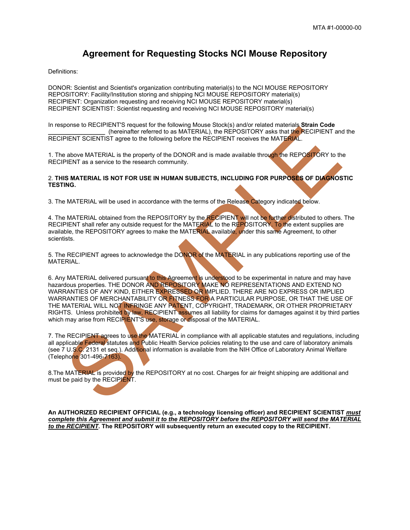## **Agreement for Requesting Stocks NCI Mouse Repository**

Definitions:

DONOR: Scientist and Scientist's organization contributing material(s) to the NCI MOUSE REPOSITORY REPOSITORY: Facility/Institution storing and shipping NCI MOUSE REPOSITORY material(s) RECIPIENT: Organization requesting and receiving NCI MOUSE REPOSITORY material(s) RECIPIENT SCIENTIST: Scientist requesting and receiving NCI MOUSE REPOSITORY material(s)

In response to RECIPIENT'S request for the following Mouse Stock(s) and/or related materials **Strain Code \_\_\_\_\_\_\_\_\_\_\_\_\_\_\_\_\_** (hereinafter referred to as MATERIAL), the REPOSITORY asks that the RECIPIENT and the RECIPIENT SCIENTIST agree to the following before the RECIPIENT receives the MATERIAL.

1. The above MATERIAL is the property of the DONOR and is made available through the REPOSITORY to the RECIPIENT as a service to the research community.

#### 2. **THIS MATERIAL IS NOT FOR USE IN HUMAN SUBJECTS, INCLUDING FOR PURPOSES OF DIAGNOSTIC TESTING.**

3. The MATERIAL will be used in accordance with the terms of the Release Category indicated below.

4. The MATERIAL obtained from the REPOSITORY by the RECIPIENT will not be further distributed to others. The RECIPIENT shall refer any outside request for the MATERIAL to the REPOSITORY. To the extent supplies are available, the REPOSITORY agrees to make the MATERIAL available, under this same Agreement, to other scientists.

5. The RECIPIENT agrees to acknowledge the DONOR of the MATERIAL in any publications reporting use of the MATERIAL.

MATTERIAL different in the motion of the DAMIS The RECIPENT and the RECIPENT STORE IN the RECIPENT STAGE IN the property of the DOMOR and is made available through the REPOSITORY to the absolute SCIPENT and a service to th 6. Any MATERIAL delivered pursuant to this Agreement is understood to be experimental in nature and may have hazardous properties. THE DONOR AND REPOSITORY MAKE NO REPRESENTATIONS AND EXTEND NO WARRANTIES OF ANY KIND, EITHER EXPRESSED OR IMPLIED. THERE ARE NO EXPRESS OR IMPLIED WARRANTIES OF MERCHANTABILITY OR FITNESS FOR A PARTICULAR PURPOSE, OR THAT THE USE OF THE MATERIAL WILL NOT INFRINGE ANY PATENT, COPYRIGHT, TRADEMARK, OR OTHER PROPRIETARY RIGHTS. Unless prohibited by law, RECIPIENT assumes all liability for claims for damages against it by third parties which may arise from RECIPIENT'S use, storage or disposal of the MATERIAL.

7. The RECIPIENT agrees to use the MATERIAL in compliance with all applicable statutes and regulations, including all applicable Federal statutes and Public Health Service policies relating to the use and care of laboratory animals (see 7 U.S.C. 2131 et seq.). Additional information is available from the NIH Office of Laboratory Animal Welfare (Telephone 301-496-7163).

8. The MATERIAL is provided by the REPOSITORY at no cost. Charges for air freight shipping are additional and must be paid by the RECIPIENT.

**An AUTHORIZED RECIPIENT OFFICIAL (e.g., a technology licensing officer) and RECIPIENT SCIENTIST** *must complete this Agreement and submit it to the REPOSITORY before the REPOSITORY will send the MATERIAL to the RECIPIENT***. The REPOSITORY will subsequently return an executed copy to the RECIPIENT.**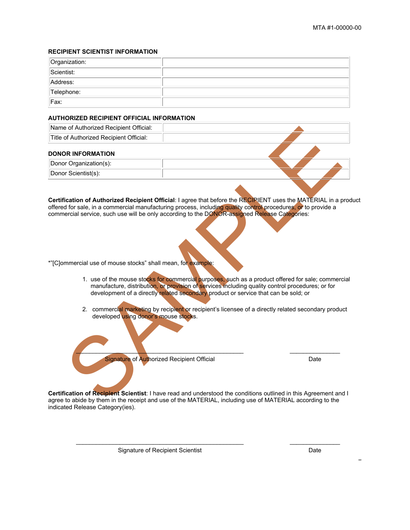#### **RECIPIENT SCIENTIST INFORMATION**

| Organization: |  |
|---------------|--|
| Scientist:    |  |
| Address:      |  |
| Telephone:    |  |
| Fax:          |  |

#### **AUTHORIZED RECIPIENT OFFICIAL INFORMATION**

| Name of Authorized Recipient Official:                                                                                                                                                                                                                                                                                                                                                                                                   |                                                                                     |                                                                                                                                                                                                                                                                                                                |
|------------------------------------------------------------------------------------------------------------------------------------------------------------------------------------------------------------------------------------------------------------------------------------------------------------------------------------------------------------------------------------------------------------------------------------------|-------------------------------------------------------------------------------------|----------------------------------------------------------------------------------------------------------------------------------------------------------------------------------------------------------------------------------------------------------------------------------------------------------------|
| Title of Authorized Recipient Official:                                                                                                                                                                                                                                                                                                                                                                                                  |                                                                                     |                                                                                                                                                                                                                                                                                                                |
| <b>DONOR INFORMATION</b>                                                                                                                                                                                                                                                                                                                                                                                                                 |                                                                                     |                                                                                                                                                                                                                                                                                                                |
| Donor Organization(s):                                                                                                                                                                                                                                                                                                                                                                                                                   |                                                                                     |                                                                                                                                                                                                                                                                                                                |
| Donor Scientist(s):                                                                                                                                                                                                                                                                                                                                                                                                                      |                                                                                     |                                                                                                                                                                                                                                                                                                                |
| Certification of Authorized Recipient Official: I agree that before the RECIPIENT uses the MATERIAL in a pro<br>offered for sale, in a commercial manufacturing process, including quality control procedures, or to provide a<br>commercial service, such use will be only according to the DONOR-assigned Release Categories:<br>*"[C]ommercial use of mouse stocks" shall mean, for example:<br>developed using donor's mouse stocks. | development of a directly related secondary product or service that can be sold; or | 1. use of the mouse stocks for commercial purposes, such as a product offered for sale; commercial<br>manufacture, distribution, or provision of services including quality control procedures; or for<br>2. commercial marketing by recipient or recipient's licensee of a directly related secondary product |
| Signature of Authorized Recipient Official                                                                                                                                                                                                                                                                                                                                                                                               |                                                                                     | Date                                                                                                                                                                                                                                                                                                           |
| Certification of Recipient Scientist: I have read and understood the conditions outlined in this Agreement and I<br>agree to abide by them in the receipt and use of the MATERIAL, including use of MATERIAL according to the                                                                                                                                                                                                            |                                                                                     |                                                                                                                                                                                                                                                                                                                |

- 1. use of the mouse stocks for commercial purposes, such as a product offered for sale; commercial manufacture, distribution, or provision of services including quality control procedures; or for development of a directly related secondary product or service that can be sold; or
	- 2. commercial marketing by recipient or recipient's licensee of a directly related secondary product developed using donor's mouse stocks.

**Certification of Recipient Scientist**: I have read and understood the conditions outlined in this Agreement and I agree to abide by them in the receipt and use of the MATERIAL, including use of MATERIAL according to the indicated Release Category(ies).

 $\Box$ 

Signature of Recipient Scientist **Date** Date